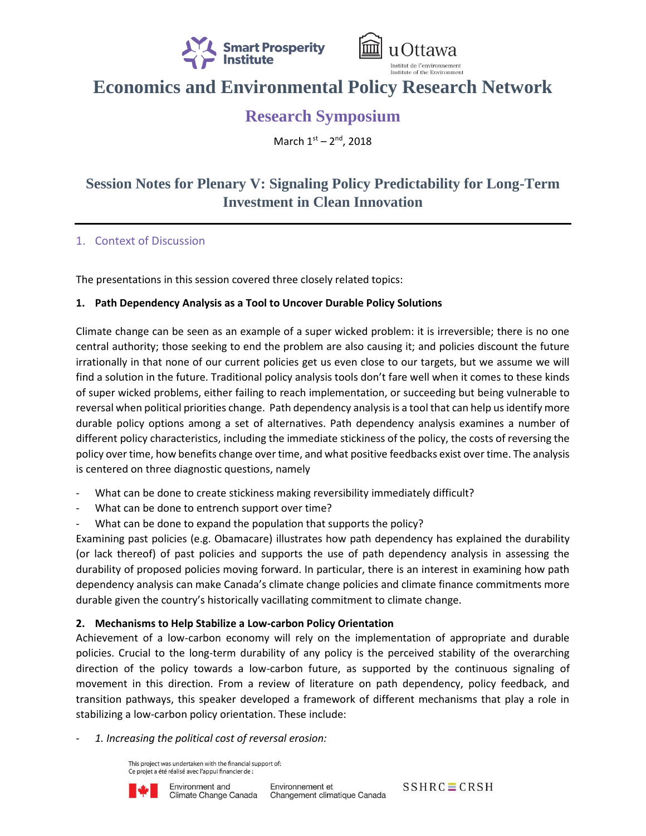



# **Economics and Environmental Policy Research Network**

# **Research Symposium**

March 1st - 2<sup>nd</sup>, 2018

# **Session Notes for Plenary V: Signaling Policy Predictability for Long-Term Investment in Clean Innovation**

### 1. Context of Discussion

The presentations in this session covered three closely related topics:

### **1. Path Dependency Analysis as a Tool to Uncover Durable Policy Solutions**

Climate change can be seen as an example of a super wicked problem: it is irreversible; there is no one central authority; those seeking to end the problem are also causing it; and policies discount the future irrationally in that none of our current policies get us even close to our targets, but we assume we will find a solution in the future. Traditional policy analysis tools don't fare well when it comes to these kinds of super wicked problems, either failing to reach implementation, or succeeding but being vulnerable to reversal when political priorities change. Path dependency analysis is a tool that can help us identify more durable policy options among a set of alternatives. Path dependency analysis examines a number of different policy characteristics, including the immediate stickiness of the policy, the costs of reversing the policy over time, how benefits change over time, and what positive feedbacks exist over time. The analysis is centered on three diagnostic questions, namely

- What can be done to create stickiness making reversibility immediately difficult?
- What can be done to entrench support over time?
- What can be done to expand the population that supports the policy?

Examining past policies (e.g. Obamacare) illustrates how path dependency has explained the durability (or lack thereof) of past policies and supports the use of path dependency analysis in assessing the durability of proposed policies moving forward. In particular, there is an interest in examining how path dependency analysis can make Canada's climate change policies and climate finance commitments more durable given the country's historically vacillating commitment to climate change.

#### **2. Mechanisms to Help Stabilize a Low-carbon Policy Orientation**

Achievement of a low-carbon economy will rely on the implementation of appropriate and durable policies. Crucial to the long-term durability of any policy is the perceived stability of the overarching direction of the policy towards a low-carbon future, as supported by the continuous signaling of movement in this direction. From a review of literature on path dependency, policy feedback, and transition pathways, this speaker developed a framework of different mechanisms that play a role in stabilizing a low-carbon policy orientation. These include:

1. Increasing the political cost of reversal erosion:

This project was undertaken with the financial support of: Ce projet a été réalisé avec l'appui financier de :



 $SSHRC \equiv CRSH$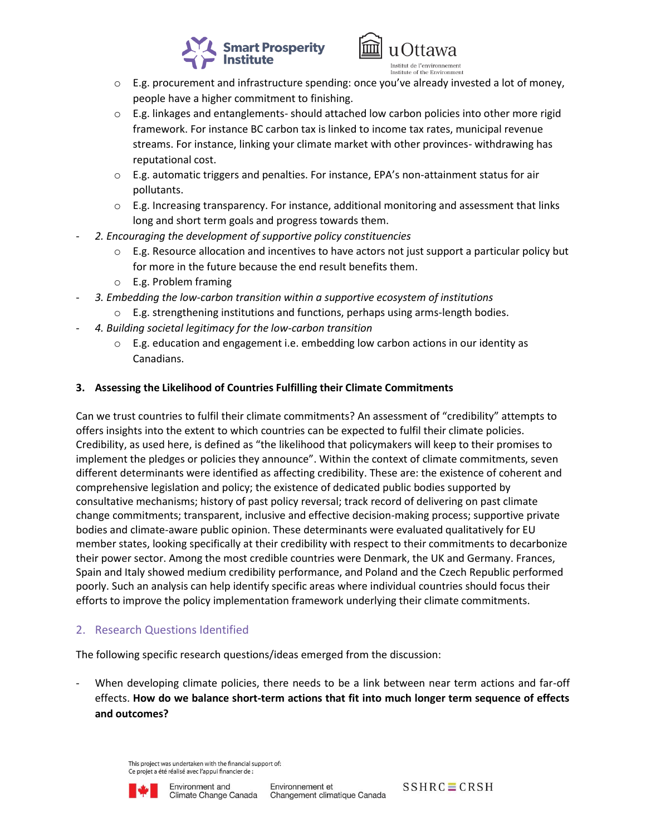



- $\circ$  E.g. procurement and infrastructure spending: once you've already invested a lot of money, people have a higher commitment to finishing.
- $\circ$  E.g. linkages and entanglements- should attached low carbon policies into other more rigid framework. For instance BC carbon tax is linked to income tax rates, municipal revenue streams. For instance, linking your climate market with other provinces- withdrawing has reputational cost.
- $\circ$  E.g. automatic triggers and penalties. For instance, EPA's non-attainment status for air pollutants.
- $\circ$  E.g. Increasing transparency. For instance, additional monitoring and assessment that links long and short term goals and progress towards them.
- *2. Encouraging the development of supportive policy constituencies*
	- $\circ$  E.g. Resource allocation and incentives to have actors not just support a particular policy but for more in the future because the end result benefits them.
	- o E.g. Problem framing
- *3. Embedding the low-carbon transition within a supportive ecosystem of institutions*
	- o E.g. strengthening institutions and functions, perhaps using arms-length bodies.
	- *4. Building societal legitimacy for the low-carbon transition*
		- $\circ$  E.g. education and engagement i.e. embedding low carbon actions in our identity as Canadians.

#### **3. Assessing the Likelihood of Countries Fulfilling their Climate Commitments**

Can we trust countries to fulfil their climate commitments? An assessment of "credibility" attempts to offers insights into the extent to which countries can be expected to fulfil their climate policies. Credibility, as used here, is defined as "the likelihood that policymakers will keep to their promises to implement the pledges or policies they announce". Within the context of climate commitments, seven different determinants were identified as affecting credibility. These are: the existence of coherent and comprehensive legislation and policy; the existence of dedicated public bodies supported by consultative mechanisms; history of past policy reversal; track record of delivering on past climate change commitments; transparent, inclusive and effective decision-making process; supportive private bodies and climate-aware public opinion. These determinants were evaluated qualitatively for EU member states, looking specifically at their credibility with respect to their commitments to decarbonize their power sector. Among the most credible countries were Denmark, the UK and Germany. Frances, Spain and Italy showed medium credibility performance, and Poland and the Czech Republic performed poorly. Such an analysis can help identify specific areas where individual countries should focus their efforts to improve the policy implementation framework underlying their climate commitments.

### 2. Research Questions Identified

The following specific research questions/ideas emerged from the discussion:

When developing climate policies, there needs to be a link between near term actions and far-off effects. **How do we balance short-term actions that fit into much longer term sequence of effects and outcomes?**

> This project was undertaken with the financial support of: Ce projet a été réalisé avec l'appui financier de :



 $SSHRC \equiv CRSH$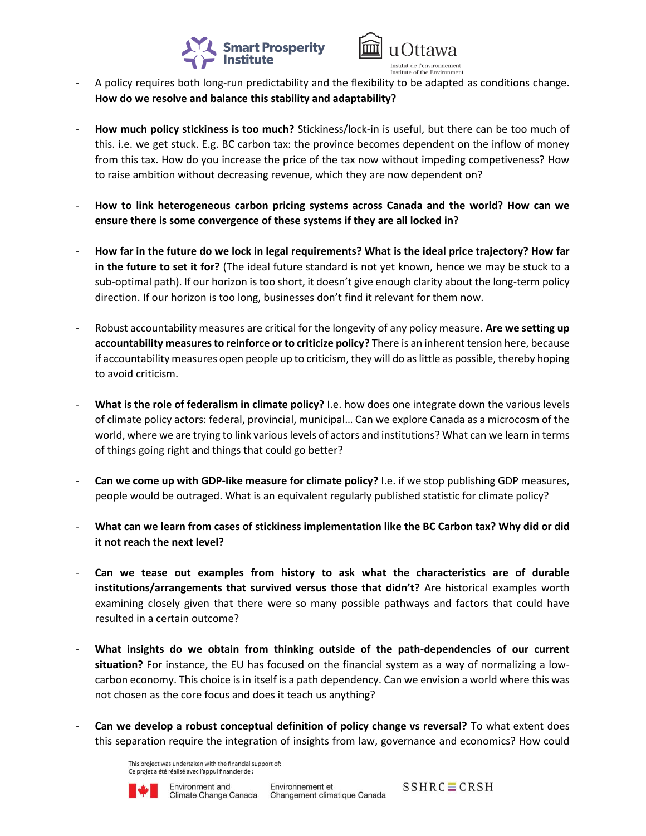



- A policy requires both long-run predictability and the flexibility to be adapted as conditions change. **How do we resolve and balance this stability and adaptability?**
- **How much policy stickiness is too much?** Stickiness/lock-in is useful, but there can be too much of this. i.e. we get stuck. E.g. BC carbon tax: the province becomes dependent on the inflow of money from this tax. How do you increase the price of the tax now without impeding competiveness? How to raise ambition without decreasing revenue, which they are now dependent on?
- **How to link heterogeneous carbon pricing systems across Canada and the world? How can we ensure there is some convergence of these systems if they are all locked in?**
- **How far in the future do we lock in legal requirements? What is the ideal price trajectory? How far in the future to set it for?** (The ideal future standard is not yet known, hence we may be stuck to a sub-optimal path). If our horizon is too short, it doesn't give enough clarity about the long-term policy direction. If our horizon is too long, businesses don't find it relevant for them now.
- Robust accountability measures are critical for the longevity of any policy measure. **Are we setting up accountability measures to reinforce or to criticize policy?** There is an inherent tension here, because if accountability measures open people up to criticism, they will do as little as possible, thereby hoping to avoid criticism.
- **What is the role of federalism in climate policy?** I.e. how does one integrate down the various levels of climate policy actors: federal, provincial, municipal… Can we explore Canada as a microcosm of the world, where we are trying to link various levels of actors and institutions? What can we learn in terms of things going right and things that could go better?
- **Can we come up with GDP-like measure for climate policy?** I.e. if we stop publishing GDP measures, people would be outraged. What is an equivalent regularly published statistic for climate policy?
- **What can we learn from cases of stickiness implementation like the BC Carbon tax? Why did or did it not reach the next level?**
- **Can we tease out examples from history to ask what the characteristics are of durable institutions/arrangements that survived versus those that didn't?** Are historical examples worth examining closely given that there were so many possible pathways and factors that could have resulted in a certain outcome?
- **What insights do we obtain from thinking outside of the path-dependencies of our current situation?** For instance, the EU has focused on the financial system as a way of normalizing a lowcarbon economy. This choice is in itself is a path dependency. Can we envision a world where this was not chosen as the core focus and does it teach us anything?
- **Can we develop a robust conceptual definition of policy change vs reversal?** To what extent does this separation require the integration of insights from law, governance and economics? How could

This project was undertaken with the financial support of: Ce projet a été réalisé avec l'appui financier de :



 $SSHRC \equiv CRSH$